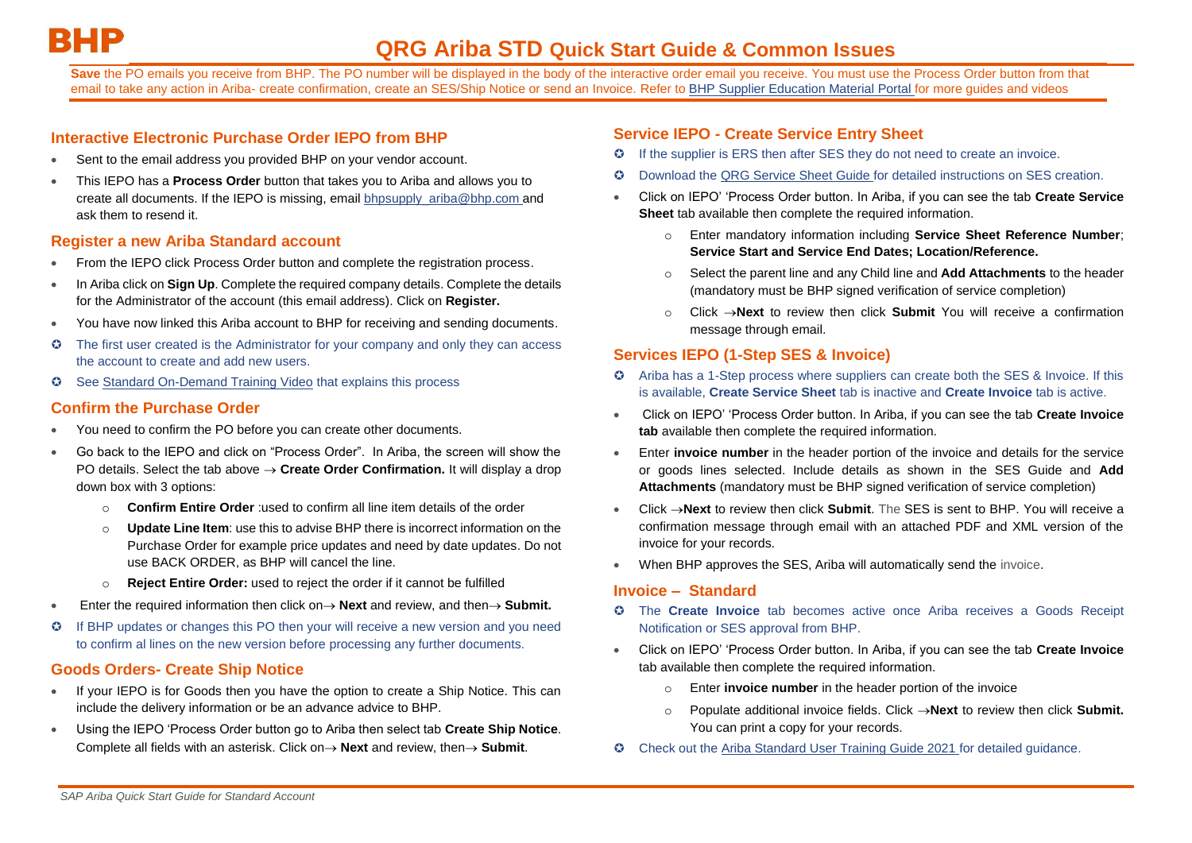Save the PO emails you receive from BHP. The PO number will be displayed in the body of the interactive order email you receive. You must use the Process Order button from that email to take any action in Ariba- create confirmation, create an SES/Ship Notice or send an Invoice. Refer to BHP Supplier Education Material Portal for more quides and videos

#### **Interactive Electronic Purchase Order IEPO from BHP**

- Sent to the email address you provided BHP on your vendor account.
- This IEPO has a **Process Order** button that takes you to Ariba and allows you to create all documents. If the IEPO is missing, email [bhpsupply\\_ariba@bhp.com](mailto:bhpsupply_ariba@bhp.com) and ask them to resend it.

## **Register a new Ariba Standard account**

- From the IEPO click Process Order button and complete the registration process.
- In Ariba click on **Sign Up**. Complete the required company details. Complete the details for the Administrator of the account (this email address). Click on **Register.**
- You have now linked this Ariba account to BHP for receiving and sending documents.
- The first user created is the Administrator for your company and only they can access the account to create and add new users.
- Se[e Standard On-Demand Training Video](https://urldefense.com/v3/__https:/support.ariba.com/item/view/193749__;!!DUKhw9QhGxNX!VKPoFxwHFavUuMhrW85MxjAm6D5hFBUJa6XjH1pD5AiELVg6bnMKKHOUQBNFlMWcpZU$) that explains this process

## **Confirm the Purchase Order**

- You need to confirm the PO before you can create other documents.
- Go back to the IEPO and click on "Process Order". In Ariba, the screen will show the PO details. Select the tab above **Create Order Confirmation.** It will display a drop down box with 3 options:
	- o **Confirm Entire Order** :used to confirm all line item details of the order
	- o **Update Line Item**: use this to advise BHP there is incorrect information on the Purchase Order for example price updates and need by date updates. Do not use BACK ORDER, as BHP will cancel the line.
	- o **Reject Entire Order:** used to reject the order if it cannot be fulfilled
- Enter the required information then click on  $\rightarrow$  **Next** and review, and then  $\rightarrow$  **Submit.**
- If BHP updates or changes this PO then your will receive a new version and you need to confirm al lines on the new version before processing any further documents.

## **Goods Orders- Create Ship Notice**

- If your IEPO is for Goods then you have the option to create a Ship Notice. This can include the delivery information or be an advance advice to BHP.
- Using the IEPO 'Process Order button go to Ariba then select tab **Create Ship Notice**. Complete all fields with an asterisk. Click on 
ightara Next and review, then
it.

#### **Service IEPO - Create Service Entry Sheet**

- If the supplier is ERS then after SES they do not need to create an invoice.
- Download the [QRG Service Sheet Guide](https://www.bhp.com/-/media/documents/suppliers/ariba/qrg-service-sheet-guide-standard-account.pdf?la=en) for detailed instructions on SES creation.
- Click on IEPO' 'Process Order button. In Ariba, if you can see the tab **Create Service Sheet** tab available then complete the required information.
	- o Enter mandatory information including **Service Sheet Reference Number**; **Service Start and Service End Dates; Location/Reference.**
	- o Select the parent line and any Child line and **Add Attachments** to the header (mandatory must be BHP signed verification of service completion)
	- Click  $\rightarrow$ **Next** to review then click **Submit** You will receive a confirmation message through email.

# **Services IEPO (1-Step SES & Invoice)**

- Ariba has a 1-Step process where suppliers can create both the SES & Invoice. If this is available, **Create Service Sheet** tab is inactive and **Create Invoice** tab is active.
- Click on IEPO' 'Process Order button. In Ariba, if you can see the tab **Create Invoice tab** available then complete the required information.
- Enter **invoice number** in the header portion of the invoice and details for the service or goods lines selected. Include details as shown in the SES Guide and **Add Attachments** (mandatory must be BHP signed verification of service completion)
- Click **Next** to review then click **Submit**. The SES is sent to BHP. You will receive a confirmation message through email with an attached PDF and XML version of the invoice for your records.
- When BHP approves the SES, Ariba will automatically send the invoice.

#### **Invoice – Standard**

- The **Create Invoice** tab becomes active once Ariba receives a Goods Receipt Notification or SES approval from BHP.
- Click on IEPO' 'Process Order button. In Ariba, if you can see the tab **Create Invoice** tab available then complete the required information.
	- o Enter **invoice number** in the header portion of the invoice
	- Populate additional invoice fields. Click  $\rightarrow$  **Next** to review then click **Submit.** You can print a copy for your records.
- C Check out the [Ariba Standard User Training Guide 2021](https://www.bhp.com/-/media/documents/suppliers/ariba/ariba-standard-user-training-guide-2021.pdf?la=en) for detailed guidance.